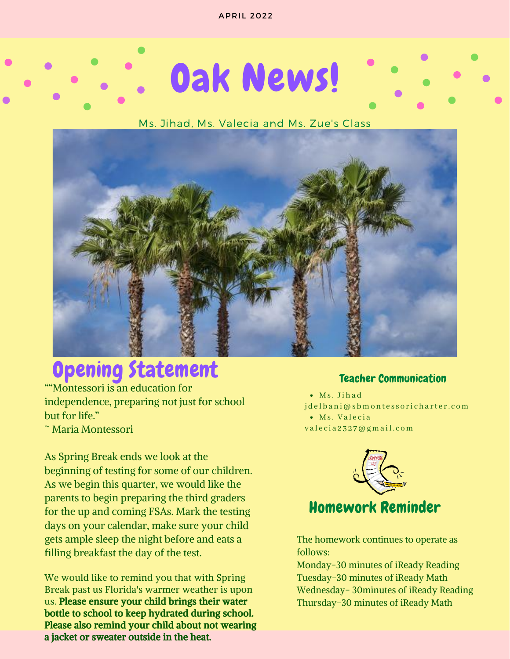# Oak News!

### Ms. Jihad, Ms. Valecia and Ms. Zue's Class



### **Opening Statement** Teacher Communication

""Montessori is an education for independence, preparing not just for school but for life."

~ Maria Montessori

As Spring Break ends we look at the beginning of testing for some of our children. As we begin this quarter, we would like the parents to begin preparing the third graders for the up and coming FSAs. Mark the testing days on your calendar, make sure your child gets ample sleep the night before and eats a filling breakfast the day of the test.

We would like to remind you that with Spring Break past us Florida's warmer weather is upon us. Please ensure your child brings their water bottle to school to keep hydrated during school. Please also remind your child about not wearing a jacket or sweater outside in the heat.

Ms. Ji h a d • Ms. Valecia j de l bani@s bmontessorich arter.com

valecia 2327@gmail.com



Homework Reminder

The homework continues to operate as follows:

Monday-30 minutes of iReady Reading Tuesday-30 minutes of iReady Math Wednesday- 30minutes of iReady Reading Thursday-30 minutes of iReady Math